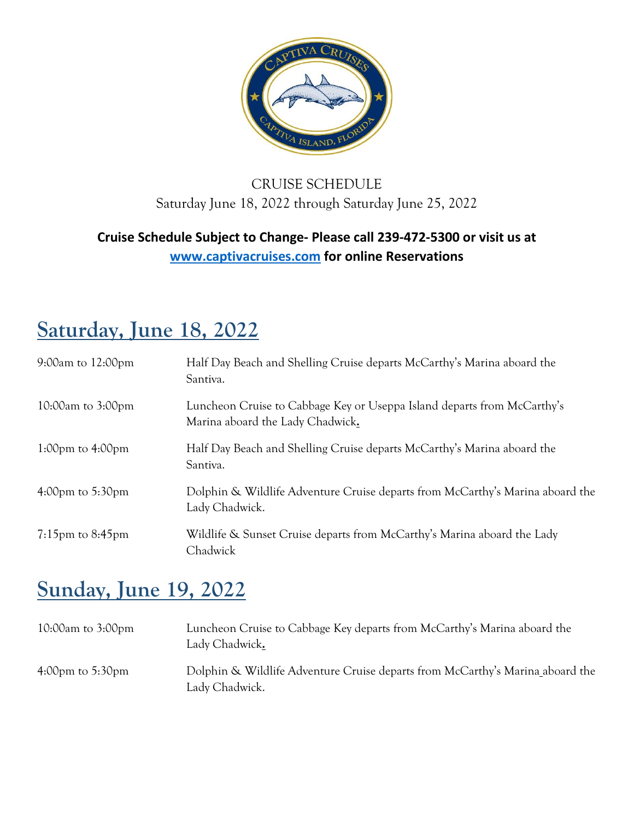

#### CRUISE SCHEDULE Saturday June 18, 2022 through Saturday June 25, 2022

#### **Cruise Schedule Subject to Change- Please call 239-472-5300 or visit us at [www.captivacruises.com](http://www.captivacruises.com/) for online Reservations**

#### **Saturday, June 18, 2022**

| $9:00$ am to $12:00$ pm              | Half Day Beach and Shelling Cruise departs McCarthy's Marina aboard the<br>Santiva.                         |
|--------------------------------------|-------------------------------------------------------------------------------------------------------------|
| 10:00am to $3:00 \text{pm}$          | Luncheon Cruise to Cabbage Key or Useppa Island departs from McCarthy's<br>Marina aboard the Lady Chadwick. |
| 1:00pm to $4:00$ pm                  | Half Day Beach and Shelling Cruise departs McCarthy's Marina aboard the<br>Santiva.                         |
| $4:00 \text{pm}$ to $5:30 \text{pm}$ | Dolphin & Wildlife Adventure Cruise departs from McCarthy's Marina aboard the<br>Lady Chadwick.             |
| $7:15$ pm to $8:45$ pm               | Wildlife & Sunset Cruise departs from McCarthy's Marina aboard the Lady<br>Chadwick                         |

#### **Sunday, June 19, 2022**

| 10:00am to $3:00 \text{pm}$          | Luncheon Cruise to Cabbage Key departs from McCarthy's Marina aboard the<br>Lady Chadwick.      |
|--------------------------------------|-------------------------------------------------------------------------------------------------|
| $4:00 \text{pm}$ to $5:30 \text{pm}$ | Dolphin & Wildlife Adventure Cruise departs from McCarthy's Marina aboard the<br>Lady Chadwick. |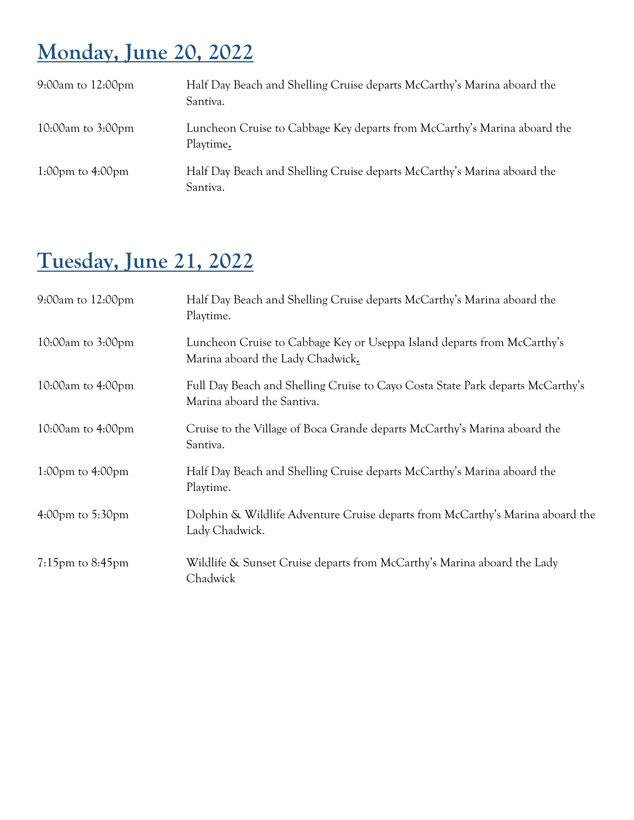## **Monday, June 20, 2022**

| 9:00am to $12:00 \text{pm}$ | Half Day Beach and Shelling Cruise departs McCarthy's Marina aboard the<br>Santiva.   |
|-----------------------------|---------------------------------------------------------------------------------------|
| 10:00am to $3:00 \text{pm}$ | Luncheon Cruise to Cabbage Key departs from McCarthy's Marina aboard the<br>Playtime. |
| 1:00pm to $4:00$ pm         | Half Day Beach and Shelling Cruise departs McCarthy's Marina aboard the<br>Santiva.   |

### **Tuesday, June 21, 2022**

| $9:00$ am to $12:00$ pm              | Half Day Beach and Shelling Cruise departs McCarthy's Marina aboard the<br>Playtime.                         |
|--------------------------------------|--------------------------------------------------------------------------------------------------------------|
| 10:00am to $3:00 \text{pm}$          | Luncheon Cruise to Cabbage Key or Useppa Island departs from McCarthy's<br>Marina aboard the Lady Chadwick.  |
| 10:00am to $4:00 \text{pm}$          | Full Day Beach and Shelling Cruise to Cayo Costa State Park departs McCarthy's<br>Marina aboard the Santiva. |
| 10:00am to $4:00 \text{pm}$          | Cruise to the Village of Boca Grande departs McCarthy's Marina aboard the<br>Santiva.                        |
| 1:00 $pm$ to 4:00 $pm$               | Half Day Beach and Shelling Cruise departs McCarthy's Marina aboard the<br>Playtime.                         |
| $4:00 \text{pm}$ to $5:30 \text{pm}$ | Dolphin & Wildlife Adventure Cruise departs from McCarthy's Marina aboard the<br>Lady Chadwick.              |
| $7:15$ pm to $8:45$ pm               | Wildlife & Sunset Cruise departs from McCarthy's Marina aboard the Lady<br>Chadwick                          |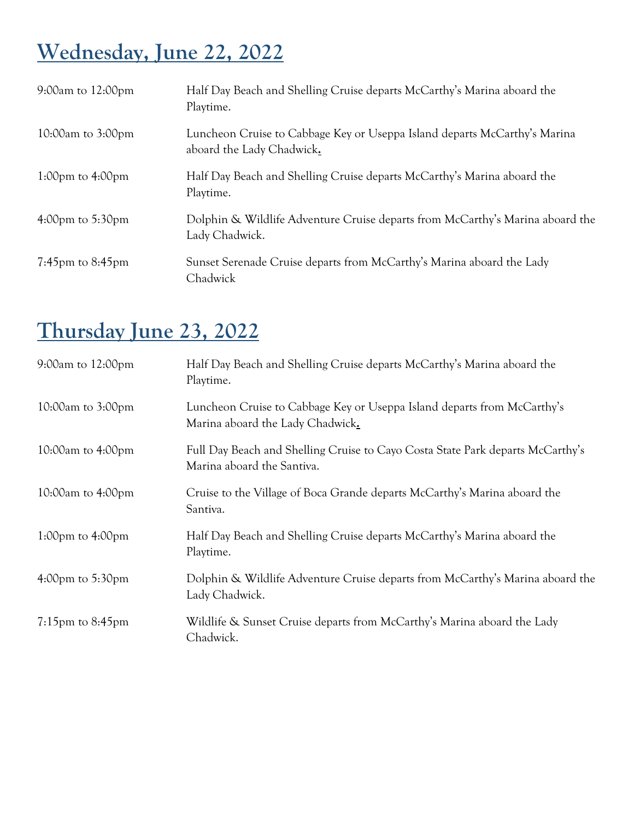# **Wednesday, June 22, 2022**

| $9:00am$ to $12:00pm$                | Half Day Beach and Shelling Cruise departs McCarthy's Marina aboard the<br>Playtime.                   |
|--------------------------------------|--------------------------------------------------------------------------------------------------------|
| 10:00am to $3:00 \text{pm}$          | Luncheon Cruise to Cabbage Key or Useppa Island departs McCarthy's Marina<br>aboard the Lady Chadwick. |
| 1:00pm to $4:00$ pm                  | Half Day Beach and Shelling Cruise departs McCarthy's Marina aboard the<br>Playtime.                   |
| $4:00 \text{pm}$ to $5:30 \text{pm}$ | Dolphin & Wildlife Adventure Cruise departs from McCarthy's Marina aboard the<br>Lady Chadwick.        |
| $7:45$ pm to $8:45$ pm               | Sunset Serenade Cruise departs from McCarthy's Marina aboard the Lady<br>Chadwick                      |

## **Thursday June 23, 2022**

| $9:00$ am to $12:00$ pm              | Half Day Beach and Shelling Cruise departs McCarthy's Marina aboard the<br>Playtime.                         |
|--------------------------------------|--------------------------------------------------------------------------------------------------------------|
| 10:00am to $3:00 \text{pm}$          | Luncheon Cruise to Cabbage Key or Useppa Island departs from McCarthy's<br>Marina aboard the Lady Chadwick.  |
| 10:00am to 4:00pm                    | Full Day Beach and Shelling Cruise to Cayo Costa State Park departs McCarthy's<br>Marina aboard the Santiva. |
| 10:00am to $4:00 \text{pm}$          | Cruise to the Village of Boca Grande departs McCarthy's Marina aboard the<br>Santiva.                        |
| 1:00pm to $4:00$ pm                  | Half Day Beach and Shelling Cruise departs McCarthy's Marina aboard the<br>Playtime.                         |
| $4:00 \text{pm}$ to $5:30 \text{pm}$ | Dolphin & Wildlife Adventure Cruise departs from McCarthy's Marina aboard the<br>Lady Chadwick.              |
| $7:15$ pm to $8:45$ pm               | Wildlife & Sunset Cruise departs from McCarthy's Marina aboard the Lady<br>Chadwick.                         |